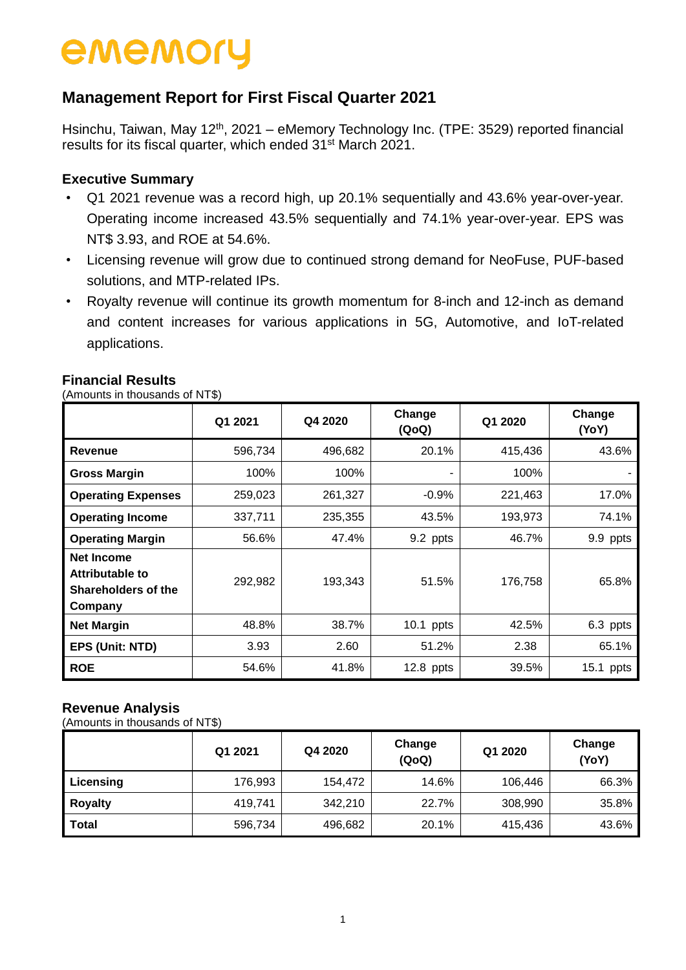## **Management Report for First Fiscal Quarter 2021**

Hsinchu, Taiwan, May 12<sup>th</sup>, 2021 – eMemory Technology Inc. (TPE: 3529) reported financial results for its fiscal quarter, which ended 31<sup>st</sup> March 2021.

### **Executive Summary**

- Q1 2021 revenue was a record high, up 20.1% sequentially and 43.6% year-over-year. Operating income increased 43.5% sequentially and 74.1% year-over-year. EPS was NT\$ 3.93, and ROE at 54.6%.
- Licensing revenue will grow due to continued strong demand for NeoFuse, PUF-based solutions, and MTP-related IPs.
- Royalty revenue will continue its growth momentum for 8-inch and 12-inch as demand and content increases for various applications in 5G, Automotive, and IoT-related applications.

| Amounts in thousands of NT\$)                                                 |                                       |         |             |                 |           |  |  |  |  |
|-------------------------------------------------------------------------------|---------------------------------------|---------|-------------|-----------------|-----------|--|--|--|--|
|                                                                               | Change<br>Q4 2020<br>Q1 2021<br>(QoQ) |         | Q1 2020     | Change<br>(YoY) |           |  |  |  |  |
| Revenue                                                                       | 596,734                               | 496,682 | 20.1%       | 415,436         | 43.6%     |  |  |  |  |
| <b>Gross Margin</b>                                                           | 100%                                  | 100%    |             | 100%            |           |  |  |  |  |
| <b>Operating Expenses</b>                                                     | 259,023                               | 261,327 | $-0.9%$     | 221,463         | 17.0%     |  |  |  |  |
| <b>Operating Income</b>                                                       | 337,711                               | 235,355 | 43.5%       | 193,973         | 74.1%     |  |  |  |  |
| <b>Operating Margin</b>                                                       | 56.6%                                 | 47.4%   | 9.2 ppts    | 46.7%           | 9.9 ppts  |  |  |  |  |
| <b>Net Income</b><br>Attributable to<br><b>Shareholders of the</b><br>Company | 292,982                               | 193,343 | 51.5%       | 176,758         | 65.8%     |  |  |  |  |
| <b>Net Margin</b>                                                             | 48.8%                                 | 38.7%   | $10.1$ ppts | 42.5%           | 6.3 ppts  |  |  |  |  |
| EPS (Unit: NTD)                                                               | 3.93                                  | 2.60    | 51.2%       | 2.38            | 65.1%     |  |  |  |  |
| ROE                                                                           | 54.6%                                 | 41.8%   | $12.8$ ppts | 39.5%           | 15.1 ppts |  |  |  |  |

#### **Financial Results**

#### **Revenue Analysis**

(Amounts in thousands of NT\$)

|                | Q1 2021 | Q4 2020 | Change<br>(QoQ) | Q1 2020 | Change<br>(YoY) |
|----------------|---------|---------|-----------------|---------|-----------------|
| Licensing      | 176,993 | 154,472 | 14.6%           | 106,446 | 66.3%           |
| <b>Royalty</b> | 419,741 | 342,210 | 22.7%           | 308,990 | 35.8%           |
| <b>Total</b>   | 596,734 | 496,682 | 20.1%           | 415,436 | 43.6%           |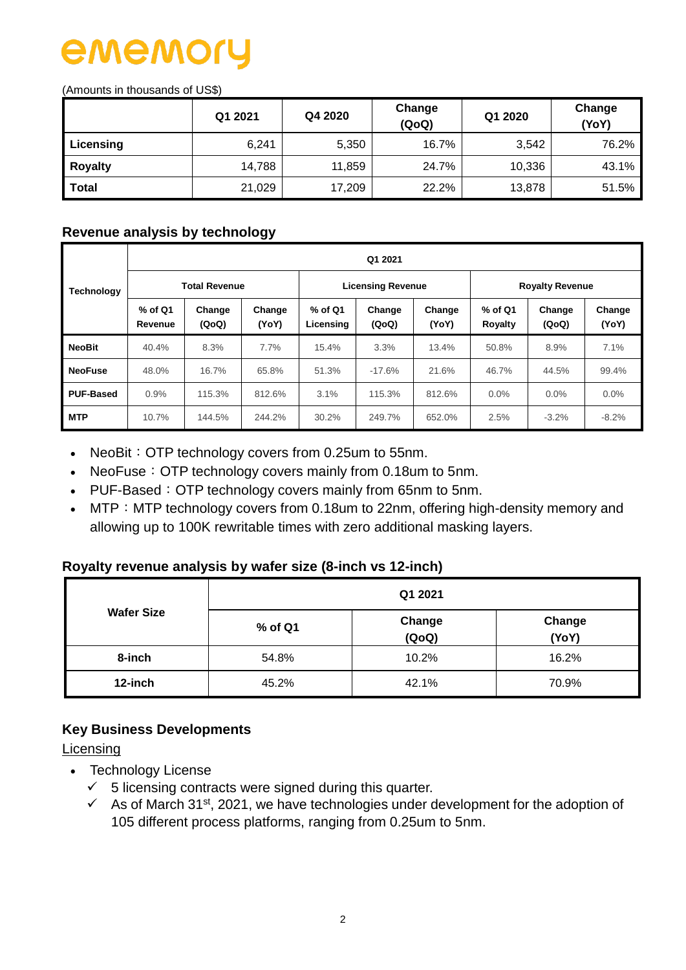# ememo

(Amounts in thousands of US\$)

|                | Q1 2021 | Q4 2020 | Change<br>(QoQ) | Q1 2020 | Change<br>(YoY) |
|----------------|---------|---------|-----------------|---------|-----------------|
| Licensing      | 6,241   | 5,350   | 16.7%           | 3,542   | 76.2%           |
| <b>Royalty</b> | 14,788  | 11,859  | 24.7%           | 10,336  | 43.1%           |
| <b>Total</b>   | 21,029  | 17,209  | 22.2%           | 13,878  | 51.5%           |

#### **Revenue analysis by technology**

|                   | Q1 2021              |                      |                 |                        |                          |                 |                        |                 |                 |  |  |  |  |
|-------------------|----------------------|----------------------|-----------------|------------------------|--------------------------|-----------------|------------------------|-----------------|-----------------|--|--|--|--|
| <b>Technology</b> |                      | <b>Total Revenue</b> |                 |                        | <b>Licensing Revenue</b> |                 | <b>Royalty Revenue</b> |                 |                 |  |  |  |  |
|                   | $%$ of Q1<br>Revenue | Change<br>(QoQ)      | Change<br>(YoY) | $%$ of Q1<br>Licensing | Change<br>(QoQ)          | Change<br>(YoY) | $%$ of Q1<br>Royalty   | Change<br>(QoQ) | Change<br>(YoY) |  |  |  |  |
| <b>NeoBit</b>     | 40.4%                | 8.3%                 | 7.7%            | 15.4%                  | 3.3%                     | 13.4%           | 50.8%                  | 8.9%            | 7.1%            |  |  |  |  |
| <b>NeoFuse</b>    | 48.0%                | 16.7%                | 65.8%           | 51.3%                  | $-17.6%$                 | 21.6%           | 46.7%                  | 44.5%           | 99.4%           |  |  |  |  |
| <b>PUF-Based</b>  | 0.9%                 | 115.3%               | 812.6%          | 3.1%                   | 115.3%                   | 812.6%          | $0.0\%$                | $0.0\%$         | 0.0%            |  |  |  |  |
| <b>MTP</b>        | 10.7%                | 144.5%               | 244.2%          | 30.2%                  | 249.7%                   | 652.0%          | 2.5%                   | $-3.2\%$        | $-8.2\%$        |  |  |  |  |

- NeoBit: OTP technology covers from 0.25um to 55nm.
- NeoFuse: OTP technology covers mainly from 0.18um to 5nm.
- PUF-Based: OTP technology covers mainly from 65nm to 5nm.
- MTP: MTP technology covers from 0.18um to 22nm, offering high-density memory and allowing up to 100K rewritable times with zero additional masking layers.

#### **Royalty revenue analysis by wafer size (8-inch vs 12-inch)**

|                   | Q1 2021 |                 |                 |  |  |  |  |  |
|-------------------|---------|-----------------|-----------------|--|--|--|--|--|
| <b>Wafer Size</b> | % of Q1 | Change<br>(QoQ) | Change<br>(YoY) |  |  |  |  |  |
| 8-inch            | 54.8%   | 10.2%           | 16.2%           |  |  |  |  |  |
| 12-inch           | 45.2%   | 42.1%           | 70.9%           |  |  |  |  |  |

#### **Key Business Developments**

**Licensing** 

- Technology License
	- $\checkmark$  5 licensing contracts were signed during this quarter.
	- $\checkmark$  As of March 31<sup>st</sup>, 2021, we have technologies under development for the adoption of 105 different process platforms, ranging from 0.25um to 5nm.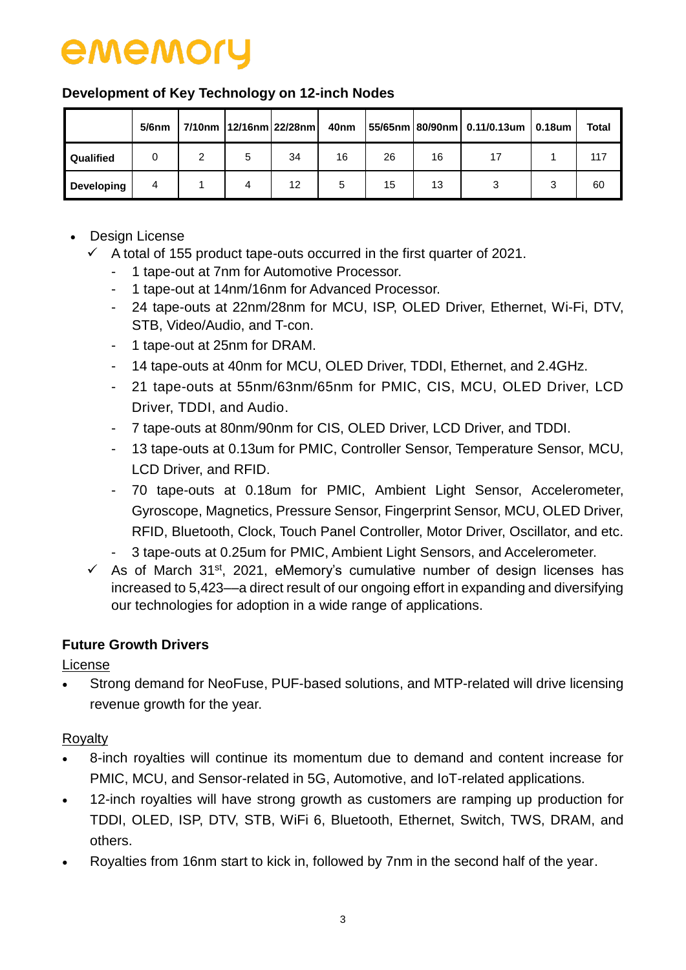#### **Development of Key Technology on 12-inch Nodes**

|            | $5/6$ nm |   | 7/10nm   12/16nm   22/28nm | 40nm |    |    | $ 55/65$ nm 80/90nm 0.11/0.13um 0.18um | Total |
|------------|----------|---|----------------------------|------|----|----|----------------------------------------|-------|
| Qualified  |          | 5 | 34                         | 16   | 26 | 16 |                                        | 117   |
| Developing | 4        | 4 | 12                         | 5    | 15 | 13 |                                        | 60    |

- Design License
	- $\checkmark$  A total of 155 product tape-outs occurred in the first quarter of 2021.
		- 1 tape-out at 7nm for Automotive Processor.
		- 1 tape-out at 14nm/16nm for Advanced Processor.
		- 24 tape-outs at 22nm/28nm for MCU, ISP, OLED Driver, Ethernet, Wi-Fi, DTV, STB, Video/Audio, and T-con.
		- 1 tape-out at 25nm for DRAM.
		- 14 tape-outs at 40nm for MCU, OLED Driver, TDDI, Ethernet, and 2.4GHz.
		- 21 tape-outs at 55nm/63nm/65nm for PMIC, CIS, MCU, OLED Driver, LCD Driver, TDDI, and Audio.
		- 7 tape-outs at 80nm/90nm for CIS, OLED Driver, LCD Driver, and TDDI.
		- 13 tape-outs at 0.13um for PMIC, Controller Sensor, Temperature Sensor, MCU, LCD Driver, and RFID.
		- 70 tape-outs at 0.18um for PMIC, Ambient Light Sensor, Accelerometer, Gyroscope, Magnetics, Pressure Sensor, Fingerprint Sensor, MCU, OLED Driver, RFID, Bluetooth, Clock, Touch Panel Controller, Motor Driver, Oscillator, and etc.
		- 3 tape-outs at 0.25um for PMIC, Ambient Light Sensors, and Accelerometer.
	- $\checkmark$  As of March 31<sup>st</sup>, 2021, eMemory's cumulative number of design licenses has increased to 5,423––a direct result of our ongoing effort in expanding and diversifying our technologies for adoption in a wide range of applications.

## **Future Growth Drivers**

License

 Strong demand for NeoFuse, PUF-based solutions, and MTP-related will drive licensing revenue growth for the year.

### **Rovalty**

- 8-inch royalties will continue its momentum due to demand and content increase for PMIC, MCU, and Sensor-related in 5G, Automotive, and IoT-related applications.
- 12-inch royalties will have strong growth as customers are ramping up production for TDDI, OLED, ISP, DTV, STB, WiFi 6, Bluetooth, Ethernet, Switch, TWS, DRAM, and others.
- Royalties from 16nm start to kick in, followed by 7nm in the second half of the year.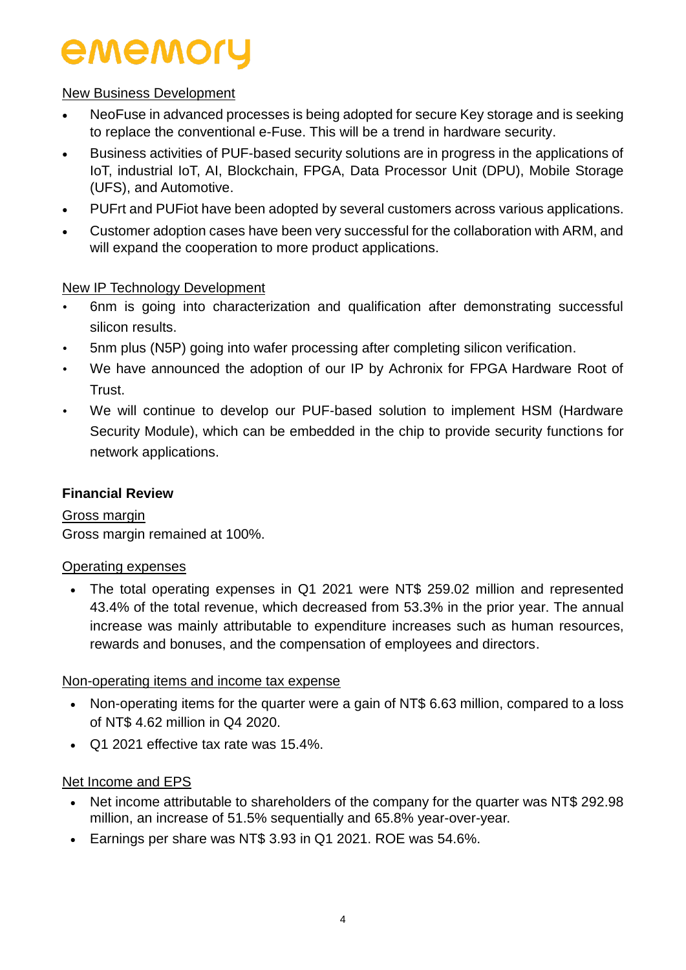#### New Business Development

- NeoFuse in advanced processes is being adopted for secure Key storage and is seeking to replace the conventional e-Fuse. This will be a trend in hardware security.
- Business activities of PUF-based security solutions are in progress in the applications of IoT, industrial IoT, AI, Blockchain, FPGA, Data Processor Unit (DPU), Mobile Storage (UFS), and Automotive.
- PUFrt and PUFiot have been adopted by several customers across various applications.
- Customer adoption cases have been very successful for the collaboration with ARM, and will expand the cooperation to more product applications.

### New IP Technology Development

- 6nm is going into characterization and qualification after demonstrating successful silicon results.
- 5nm plus (N5P) going into wafer processing after completing silicon verification.
- We have announced the adoption of our IP by Achronix for FPGA Hardware Root of Trust.
- We will continue to develop our PUF-based solution to implement HSM (Hardware Security Module), which can be embedded in the chip to provide security functions for network applications.

### **Financial Review**

Gross margin Gross margin remained at 100%.

#### Operating expenses

• The total operating expenses in Q1 2021 were NT\$ 259.02 million and represented 43.4% of the total revenue, which decreased from 53.3% in the prior year. The annual increase was mainly attributable to expenditure increases such as human resources, rewards and bonuses, and the compensation of employees and directors.

#### Non-operating items and income tax expense

- Non-operating items for the quarter were a gain of NT\$ 6.63 million, compared to a loss of NT\$ 4.62 million in Q4 2020.
- Q1 2021 effective tax rate was 15.4%.

### Net Income and EPS

- Net income attributable to shareholders of the company for the quarter was NT\$ 292.98 million, an increase of 51.5% sequentially and 65.8% year-over-year.
- Earnings per share was NT\$ 3.93 in Q1 2021. ROE was 54.6%.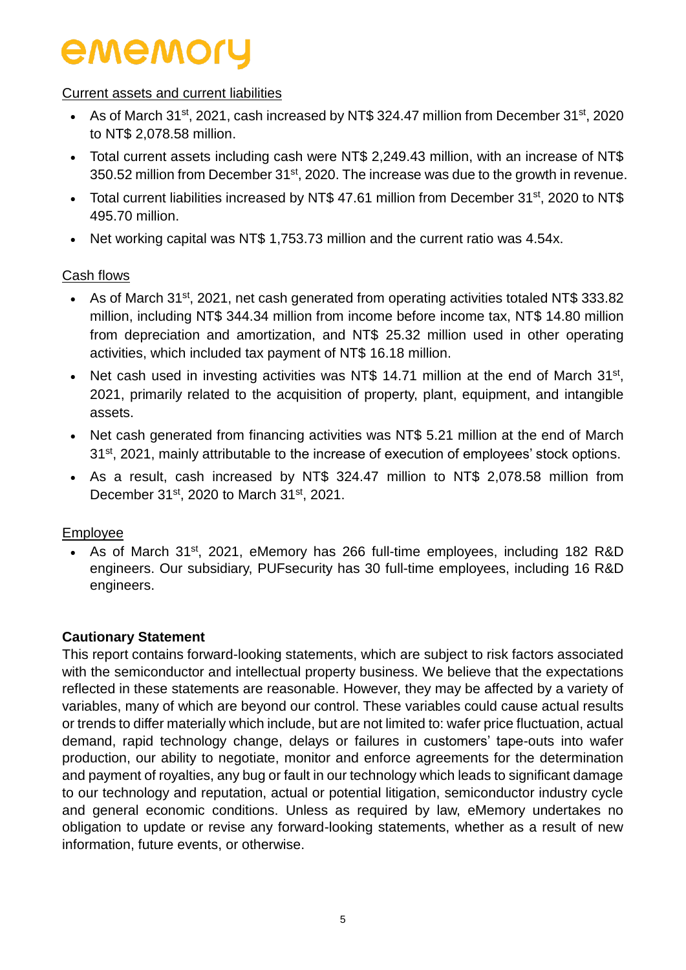#### Current assets and current liabilities

- As of March 31<sup>st</sup>, 2021, cash increased by NT\$ 324.47 million from December 31<sup>st</sup>, 2020 to NT\$ 2,078.58 million.
- Total current assets including cash were NT\$ 2,249.43 million, with an increase of NT\$ 350.52 million from December 31<sup>st</sup>, 2020. The increase was due to the growth in revenue.
- Total current liabilities increased by NT\$ 47.61 million from December 31<sup>st</sup>, 2020 to NT\$ 495.70 million.
- Net working capital was NT\$ 1,753.73 million and the current ratio was 4.54x.

#### Cash flows

- As of March 31st, 2021, net cash generated from operating activities totaled NT\$ 333.82 million, including NT\$ 344.34 million from income before income tax, NT\$ 14.80 million from depreciation and amortization, and NT\$ 25.32 million used in other operating activities, which included tax payment of NT\$ 16.18 million.
- Net cash used in investing activities was NT\$ 14.71 million at the end of March  $31^{st}$ , 2021, primarily related to the acquisition of property, plant, equipment, and intangible assets.
- Net cash generated from financing activities was NT\$ 5.21 million at the end of March 31<sup>st</sup>, 2021, mainly attributable to the increase of execution of employees' stock options.
- As a result, cash increased by NT\$ 324.47 million to NT\$ 2,078.58 million from December 31<sup>st</sup>, 2020 to March 31<sup>st</sup>, 2021.

#### Employee

• As of March 31<sup>st</sup>, 2021, eMemory has 266 full-time employees, including 182 R&D engineers. Our subsidiary, PUFsecurity has 30 full-time employees, including 16 R&D engineers.

#### **Cautionary Statement**

This report contains forward-looking statements, which are subject to risk factors associated with the semiconductor and intellectual property business. We believe that the expectations reflected in these statements are reasonable. However, they may be affected by a variety of variables, many of which are beyond our control. These variables could cause actual results or trends to differ materially which include, but are not limited to: wafer price fluctuation, actual demand, rapid technology change, delays or failures in customers' tape-outs into wafer production, our ability to negotiate, monitor and enforce agreements for the determination and payment of royalties, any bug or fault in our technology which leads to significant damage to our technology and reputation, actual or potential litigation, semiconductor industry cycle and general economic conditions. Unless as required by law, eMemory undertakes no obligation to update or revise any forward-looking statements, whether as a result of new information, future events, or otherwise.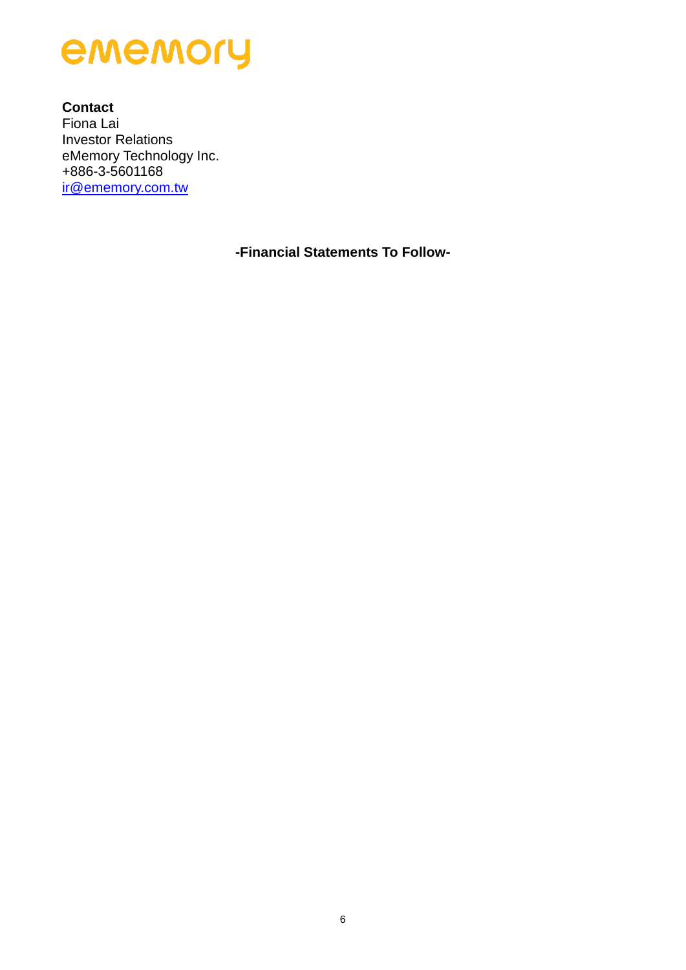

**Contact** Fiona Lai Investor Relations eMemory Technology Inc. +886-3-5601168 [ir@ememory.com.tw](mailto:ir@ememory.com.tw)

**-Financial Statements To Follow-**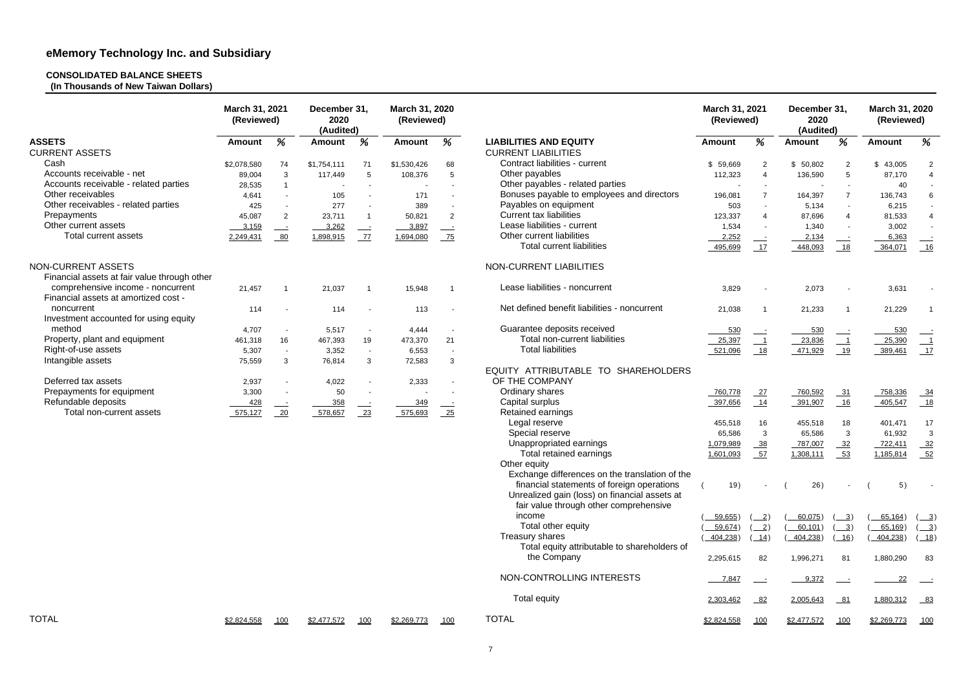# **CONSOLIDATED BALANCE SHEETS**

**(In Thousands of New Taiwan Dollars)**

|                                                                           | March 31, 2021<br>(Reviewed) |                          | December 31.<br>2020<br>(Audited) |                | March 31, 2020<br>(Reviewed) |                          |                                                       | March 31, 2021<br>(Reviewed) |                               | December 31,<br>2020<br>(Audited) |                                              | March 31, 2020<br>(Reviewed) |                                             |
|---------------------------------------------------------------------------|------------------------------|--------------------------|-----------------------------------|----------------|------------------------------|--------------------------|-------------------------------------------------------|------------------------------|-------------------------------|-----------------------------------|----------------------------------------------|------------------------------|---------------------------------------------|
| <b>ASSETS</b>                                                             | <b>Amount</b>                | %                        | <b>Amount</b>                     | %              | <b>Amount</b>                | %                        | <b>LIABILITIES AND EQUITY</b>                         | <b>Amount</b>                | %                             | <b>Amount</b>                     | %                                            | <b>Amount</b>                | %                                           |
| <b>CURRENT ASSETS</b>                                                     |                              |                          |                                   |                |                              |                          | <b>CURRENT LIABILITIES</b>                            |                              |                               |                                   |                                              |                              |                                             |
| Cash                                                                      | \$2,078,580                  | 74                       | \$1,754,111                       | 71             | \$1,530,426                  | 68                       | Contract liabilities - current                        | \$59,669                     | $\overline{2}$                | \$50,802                          | 2                                            | \$43,005                     | $\overline{2}$                              |
| Accounts receivable - net                                                 | 89,004                       | 3                        | 117,449                           | 5              | 108,376                      | 5                        | Other payables                                        | 112,323                      | $\overline{4}$                | 136,590                           | 5                                            | 87,170                       | $\overline{4}$                              |
| Accounts receivable - related parties                                     | 28,535                       | $\overline{1}$           |                                   | $\blacksquare$ |                              | $\sim$                   | Other payables - related parties                      |                              | $\sim$                        |                                   | $\sim$                                       | 40                           |                                             |
| Other receivables                                                         | 4,641                        |                          | 105                               |                | 171                          |                          | Bonuses payable to employees and directors            | 196,081                      | $\overline{7}$                | 164,397                           | $\overline{7}$                               | 136,743                      | 6                                           |
| Other receivables - related parties                                       | 425                          | $\sim$                   | 277                               |                | 389                          |                          | Payables on equipment                                 | 503                          | $\sim$                        | 5,134                             | $\overline{\phantom{a}}$                     | 6,215                        |                                             |
| Prepayments                                                               | 45,087                       | $\overline{2}$           | 23,711                            |                | 50,821                       | 2                        | <b>Current tax liabilities</b>                        | 123,337                      | $\overline{4}$                | 87,696                            | $\boldsymbol{\Lambda}$                       | 81,533                       | $\overline{4}$                              |
| Other current assets                                                      | 3,159                        | $\equiv$                 | 3,262                             |                | 3,897                        | $\equiv$                 | Lease liabilities - current                           | 1,534                        | $\sim$                        | 1,340                             |                                              | 3,002                        |                                             |
| Total current assets                                                      | 2,249,431                    | 80                       | 1,898,915                         | 77             | 1,694,080                    | $-75$                    | Other current liabilities                             | 2,252                        | $\rule{1em}{0.15mm}$          | 2,134                             | $\equiv$                                     | 6,363                        | $\overline{\phantom{a}}$                    |
|                                                                           |                              |                          |                                   |                |                              |                          | <b>Total current liabilities</b>                      | 495,699                      | 17                            | 448,093                           | 18                                           | 364,071                      |                                             |
| NON-CURRENT ASSETS<br>Financial assets at fair value through other        |                              |                          |                                   |                |                              |                          | NON-CURRENT LIABILITIES                               |                              |                               |                                   |                                              |                              |                                             |
| comprehensive income - noncurrent<br>Financial assets at amortized cost - | 21,457                       |                          | 21,037                            |                | 15,948                       |                          | Lease liabilities - noncurrent                        | 3,829                        |                               | 2,073                             |                                              | 3,631                        |                                             |
| noncurrent<br>Investment accounted for using equity                       | 114                          |                          | 114                               |                | 113                          |                          | Net defined benefit liabilities - noncurrent          | 21,038                       |                               | 21,233                            |                                              | 21,229                       | - 1                                         |
| method                                                                    | 4,707                        | $\overline{\phantom{a}}$ | 5,517                             |                | 4,444                        |                          | Guarantee deposits received                           | 530                          |                               | 530                               |                                              | 530                          |                                             |
| Property, plant and equipment                                             | 461,318                      | 16                       | 467,393                           | 19             | 473,370                      | 21                       | Total non-current liabilities                         | 25,397                       | $\overline{\phantom{0}}$      | 23,836                            | $\underline{\phantom{0}}$                    | 25,390                       | $\overline{\phantom{0}}$                    |
| Right-of-use assets                                                       | 5,307                        | $\overline{\phantom{a}}$ | 3,352                             | $\blacksquare$ | 6,553                        | $\sim$                   | <b>Total liabilities</b>                              | 521,096                      | 18                            | 471,929                           | 19                                           | 389,461                      | 17                                          |
| Intangible assets                                                         | 75,559                       | 3                        | 76,814                            | 3              | 72,583                       | 3                        |                                                       |                              |                               |                                   |                                              |                              |                                             |
| Deferred tax assets                                                       | 2,937                        | $\overline{\phantom{a}}$ | 4,022                             | $\blacksquare$ | 2,333                        | $\overline{\phantom{a}}$ | EQUITY ATTRIBUTABLE TO SHAREHOLDERS<br>OF THE COMPANY |                              |                               |                                   |                                              |                              |                                             |
| Prepayments for equipment                                                 | 3,300                        | $\overline{\phantom{a}}$ | 50                                |                |                              | $\overline{\phantom{a}}$ | Ordinary shares                                       | 760,778                      | 27                            | 760,592                           | $-31$                                        | 758,336                      | $-34$                                       |
| Refundable deposits                                                       | 428                          | $\equiv$ $\equiv$        | 358                               |                | 349                          | $\frac{1}{2}$            | Capital surplus                                       | 397,656                      | 14                            | 391,907                           | 16                                           | 405,547                      | $-18$                                       |
| Total non-current assets                                                  | 575,127                      | 20                       | 578,657                           | 23             | 575,693                      | $-25$                    | Retained earnings                                     |                              |                               |                                   |                                              |                              |                                             |
|                                                                           |                              |                          |                                   |                |                              |                          | Legal reserve                                         | 455,518                      | 16                            | 455,518                           | 18                                           | 401,471                      | 17                                          |
|                                                                           |                              |                          |                                   |                |                              |                          | Special reserve                                       | 65,586                       | $\mathbf{3}$                  | 65,586                            | 3                                            | 61,932                       | $\mathbf{3}$                                |
|                                                                           |                              |                          |                                   |                |                              |                          | Unappropriated earnings                               | 1,079,989                    | 38                            | 787,007                           | 32                                           | 722,411                      | $-32$                                       |
|                                                                           |                              |                          |                                   |                |                              |                          | Total retained earnings                               | 1,601,093                    | 57                            | 1,308,111                         | 53                                           | 1,185,814                    | $-52$                                       |
|                                                                           |                              |                          |                                   |                |                              |                          | Other equity                                          |                              |                               |                                   |                                              |                              |                                             |
|                                                                           |                              |                          |                                   |                |                              |                          | Exchange differences on the translation of the        |                              |                               |                                   |                                              |                              |                                             |
|                                                                           |                              |                          |                                   |                |                              |                          | financial statements of foreign operations            | 19)                          | $\sim$                        | 26)                               | $\sim$                                       | 5)                           |                                             |
|                                                                           |                              |                          |                                   |                |                              |                          | Unrealized gain (loss) on financial assets at         |                              |                               |                                   |                                              |                              |                                             |
|                                                                           |                              |                          |                                   |                |                              |                          | fair value through other comprehensive                |                              |                               |                                   |                                              |                              |                                             |
|                                                                           |                              |                          |                                   |                |                              |                          | income                                                | 59,655)                      | $\sqrt{2}$                    | 60,075)                           | $\frac{3}{2}$                                | 65,164)                      | $\left( \underline{\hspace{1cm}} 3 \right)$ |
|                                                                           |                              |                          |                                   |                |                              |                          | Total other equity                                    | 59,674)                      | $\sqrt{2}$                    | 60,101)                           | $\left( \underline{\hspace{1cm}}\ 3 \right)$ | 65,169)                      | $(\underline{-3})$                          |
|                                                                           |                              |                          |                                   |                |                              |                          | Treasury shares                                       | 404,238)                     | $\left( \frac{14}{2} \right)$ | 404,238)                          | (16)                                         | 404,238)                     | (18)                                        |
|                                                                           |                              |                          |                                   |                |                              |                          | Total equity attributable to shareholders of          |                              |                               |                                   |                                              |                              |                                             |
|                                                                           |                              |                          |                                   |                |                              |                          | the Company                                           | 2,295,615                    | 82                            | 1,996,271                         | 81                                           | 1,880,290                    | 83                                          |
|                                                                           |                              |                          |                                   |                |                              |                          | NON-CONTROLLING INTERESTS                             | 7,847                        | $\equiv$ $\equiv$             | 9,372                             |                                              |                              |                                             |
|                                                                           |                              |                          |                                   |                |                              |                          | Total equity                                          | 2,303,462                    | $-82$                         | 2,005,643                         | $-81$                                        | 1,880,312                    | $-83$                                       |
| <b>TOTAL</b>                                                              | \$2,824,558                  | 100                      | \$2,477,572                       | 100            | \$2,269,773                  | 100                      | <b>TOTAL</b>                                          | \$2,824,558                  | 100                           | \$2,477,572                       | 100                                          | \$2,269,773                  | 100                                         |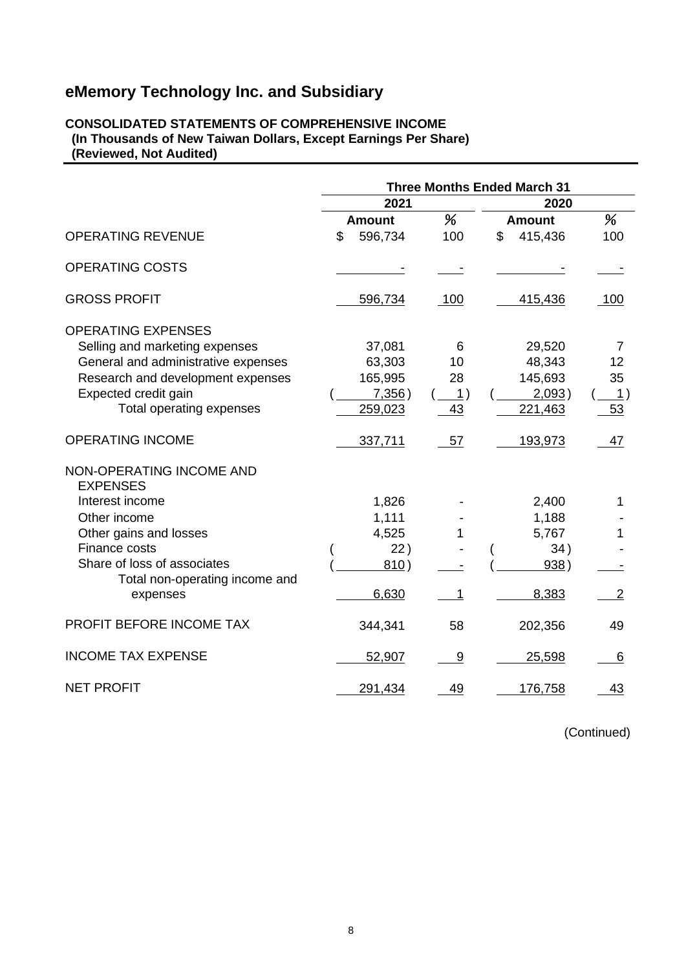#### **CONSOLIDATED STATEMENTS OF COMPREHENSIVE INCOME (In Thousands of New Taiwan Dollars, Except Earnings Per Share) (Reviewed, Not Audited)**

|                                             | <b>Three Months Ended March 31</b> |             |               |                |
|---------------------------------------------|------------------------------------|-------------|---------------|----------------|
|                                             | 2021                               |             | 2020          |                |
|                                             | <b>Amount</b>                      | %           | <b>Amount</b> | %              |
| <b>OPERATING REVENUE</b>                    | \$<br>596,734                      | 100         | \$<br>415,436 | 100            |
| <b>OPERATING COSTS</b>                      |                                    |             |               |                |
| <b>GROSS PROFIT</b>                         | 596,734                            | 100         | 415,436       | 100            |
| <b>OPERATING EXPENSES</b>                   |                                    |             |               |                |
| Selling and marketing expenses              | 37,081                             | 6           | 29,520        | 7              |
| General and administrative expenses         | 63,303                             | 10          | 48,343        | 12             |
| Research and development expenses           | 165,995                            | 28          | 145,693       | 35             |
| Expected credit gain                        | 7,356)                             | $\perp$     | 2,093)        | $\perp$        |
| Total operating expenses                    | 259,023                            | 43          | 221,463       | 53             |
| <b>OPERATING INCOME</b>                     | 337,711                            | 57          | 193,973       | 47             |
| NON-OPERATING INCOME AND<br><b>EXPENSES</b> |                                    |             |               |                |
| Interest income                             | 1,826                              |             | 2,400         | 1              |
| Other income                                | 1,111                              |             | 1,188         |                |
| Other gains and losses                      | 4,525                              |             | 5,767         | 1              |
| Finance costs                               | 22)                                |             | 34)           |                |
| Share of loss of associates                 | 810)                               |             | 938)          |                |
| Total non-operating income and              |                                    |             |               |                |
| expenses                                    | 6,630                              | $\mathbf 1$ | 8,383         | $\overline{2}$ |
| PROFIT BEFORE INCOME TAX                    | 344,341                            | 58          | 202,356       | 49             |
| <b>INCOME TAX EXPENSE</b>                   | 52,907                             | 9           | 25,598        | 6              |
| <b>NET PROFIT</b>                           | 291,434                            | 49          | 176,758       | 43             |

(Continued)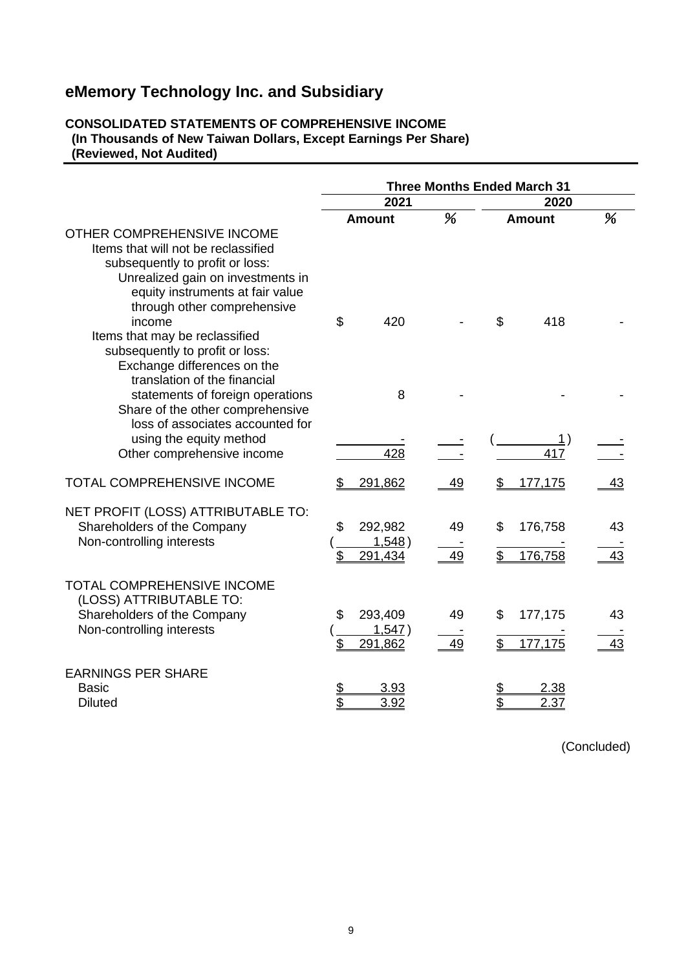#### **CONSOLIDATED STATEMENTS OF COMPREHENSIVE INCOME (In Thousands of New Taiwan Dollars, Except Earnings Per Share) (Reviewed, Not Audited)**

|                                                                                                                                                                               | <b>Three Months Ended March 31</b> |                              |          |          |                     |          |  |
|-------------------------------------------------------------------------------------------------------------------------------------------------------------------------------|------------------------------------|------------------------------|----------|----------|---------------------|----------|--|
|                                                                                                                                                                               | 2021                               |                              |          |          | 2020                |          |  |
| OTHER COMPREHENSIVE INCOME<br>Items that will not be reclassified<br>subsequently to profit or loss:<br>Unrealized gain on investments in                                     | <b>Amount</b>                      |                              | %        |          | <b>Amount</b>       | %        |  |
| equity instruments at fair value<br>through other comprehensive<br>income<br>Items that may be reclassified<br>subsequently to profit or loss:<br>Exchange differences on the | \$                                 | 420                          |          | \$       | 418                 |          |  |
| translation of the financial<br>statements of foreign operations<br>Share of the other comprehensive<br>loss of associates accounted for                                      |                                    | 8                            |          |          |                     |          |  |
| using the equity method<br>Other comprehensive income                                                                                                                         |                                    | 428                          |          |          | 1)<br>417           |          |  |
| <b>TOTAL COMPREHENSIVE INCOME</b>                                                                                                                                             | \$                                 | 291,862                      | 49       | S        | 177,175             | 43       |  |
| NET PROFIT (LOSS) ATTRIBUTABLE TO:<br>Shareholders of the Company<br>Non-controlling interests                                                                                | \$<br>\$                           | 292,982<br>1,548)<br>291,434 | 49<br>49 | \$<br>\$ | 176,758<br>176,758  | 43<br>43 |  |
| <b>TOTAL COMPREHENSIVE INCOME</b><br>(LOSS) ATTRIBUTABLE TO:<br>Shareholders of the Company<br>Non-controlling interests                                                      | \$<br>\$                           | 293,409<br>1,547)<br>291,862 | 49<br>49 | \$       | 177,175<br>177,175  | 43<br>43 |  |
| <b>EARNINGS PER SHARE</b><br><b>Basic</b><br><b>Diluted</b>                                                                                                                   | \$<br>\$                           | <u>3.93</u><br>3.92          |          | \$       | <u>2.38</u><br>2.37 |          |  |

(Concluded)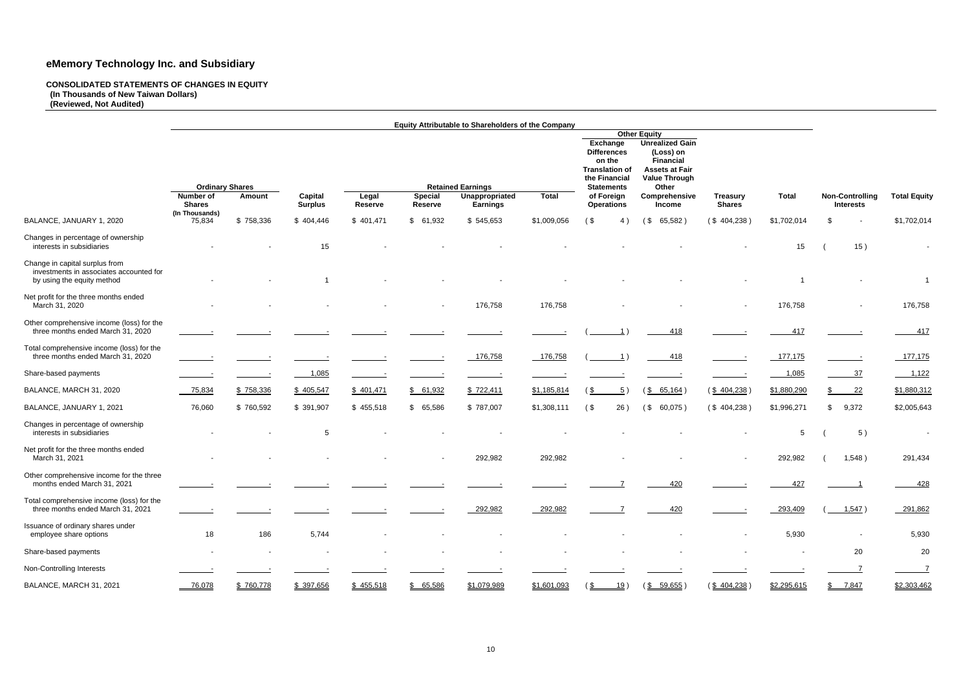**Equity Attributable to Shareholders of the Company Other Equity Exchange Differences Unrealized Gain (Loss) on on the Translation of the Financial Financial Assets at Fair Value Through Ordinary Shares Latements**<br>
Statements ber of and the Capital Capital Legal Special Unappropriated Total of Foreign **Number of Shares (In Thousands) Amount Capital Surplus Legal Reserve Special Reserve Unappropriated Earnings Total of Foreign Operations Comprehensive Income Treas Shar** BALANCE, JANUARY 1, 2020 75,834 \$ 758,336 \$ 404,446 \$ 401,471 \$ 61,932 \$ 545,653 \$1,009,056 (\$ 4) (\$ 65,582) (\$ 404,238) \$1,702,014 \$ \$1,702,014 Changes in percentage of ownership interests in subsidiaries - - 15 - - - - - - - 15 ( 15 ) - Change in capital surplus from investments in associates accounted for by using the equity method - - 1 - - - - - - - 1 - 1 Net profit for the three months ended<br>March 31, 2020 March 31, 2020 - - - - - 176,758 176,758 - - - 176,758 - 176,758 Other comprehensive income (loss) for the three months ended March 31, 2020 Total comprehensive income (loss) for the three months ended March 31, 2020 - - - - - 176,758 176,758 ( 1 ) 418 - 177,175 - 177,175 Share-based payments - - 1,085 - - - - - - - 1,085 37 1,122 BALANCE, MARCH 31, 2020 <u> 75,834 \$ 758,336 \$ 405,547 \$ 401,471</u> \$ 61,<u>932 \$ 722,411</u> \$1,185,814 (\$ 5) (\$ 65,164) (\$ 404,238) \$1,880,290 \$ 22 \$1,880,312 BALANCE, JANUARY 1, 2021 76,060 \$ 760,592 \$ 391,907 \$ 455,518 \$ 65,586 \$ 787,007 \$1,308,111 ( \$ 26 ) ( \$ 60,075 ) ( \$ 404,238 ) \$1,996,271 \$ 9,372 \$2,005,643 Changes in percentage of ownership interests in subsidiaries - - 5 - - - - - - - 5 ( 5 ) - Net profit for the three months ended<br>March 31, 2021 March 31, 2021 - - - - - 292,982 292,982 - - - 292,982 ( 1,548 ) 291,434 Other comprehensive income for the three months ended March 31, 2021 - - - - - - - 7 420 - 427 1 428 Total comprehensive income (loss) for the three months ended March 31, 2021 - - - - - 292,982 292,982 7 420 - 293,409 ( 1,547 ) 291,862 Issuance of ordinary shares under employee share options 18 186 5,744 - - - - - - - 5,930 - 5,930 Share-based payments - - - - - - - - - - - 20 20 Non-Controlling Interests - - - - - - - - - - - 7 7 BALANCE, MARCH 31, 2021 <u> 76,078</u> \$ 760,778 \$ 397,656 \$ 455,518 \$ 65,586 \$1,079,989 \$1,601,093 (\$ 19) (\$ 59,655) (\$ 404,238) \$2,295,615 \$ 7,847 \$2,303,462

#### **CONSOLIDATED STATEMENTS OF CHANGES IN EQUITY (In Thousands of New Taiwan Dollars) (Reviewed, Not Audited)**

| <b>ury</b><br>es. | <b>Total</b> | <b>Non-Controlling</b><br><b>Interests</b>                                                                           |                    |  |
|-------------------|--------------|----------------------------------------------------------------------------------------------------------------------|--------------------|--|
| ,238)             | \$1,702,014  | \$                                                                                                                   | \$1,702,014        |  |
|                   | 15           | 15)<br>$\overline{\phantom{a}}$                                                                                      |                    |  |
|                   | 1            |                                                                                                                      | 1                  |  |
|                   | 176,758      |                                                                                                                      | 176,758            |  |
| Ξ                 | $-417$       | <u> 1999 - 1999 - 1999 - 1999 - 1999 - 1999 - 1999 - 1999 - 1999 - 1999 - 1999 - 1999 - 1999 - 1999 - 1999 - 199</u> | <u>417</u>         |  |
| Ξ                 | 177,175      | <u> 1999 - 1999 - 1999 - 1999 - 1999 - 1999 - 1999 - 1999 - 1999 - 1999 - 1999 - 1999 - 1999 - 1999 - 1999 - 199</u> | 177,175            |  |
| $\sim$ $\sim$     | 1,085        | <u>37</u>                                                                                                            | 1,122              |  |
| <u>,238</u> )     | \$1,880,290  | $\frac{1}{2}$                                                                                                        | <u>\$1,880,312</u> |  |
| ,238)             | \$1,996,271  | \$<br>9,372                                                                                                          | \$2,005,643        |  |
|                   | 5            | 5)<br>$\overline{(}$                                                                                                 |                    |  |
|                   | 292,982      | 1,548)<br>$\overline{\phantom{a}}$                                                                                   | 291,434            |  |
|                   | <u>427</u>   | $\overline{1}$                                                                                                       | <u>428</u>         |  |
|                   | 293,409      | $($ 1,547)                                                                                                           | 291,862            |  |
|                   | 5,930        |                                                                                                                      | 5,930              |  |
|                   |              | 20                                                                                                                   | 20                 |  |
|                   |              | 7                                                                                                                    | $\overline{I}$     |  |
| ,238)             | \$2,295,615  | 7,847<br>$\frac{2}{3}$                                                                                               | \$2,303,462        |  |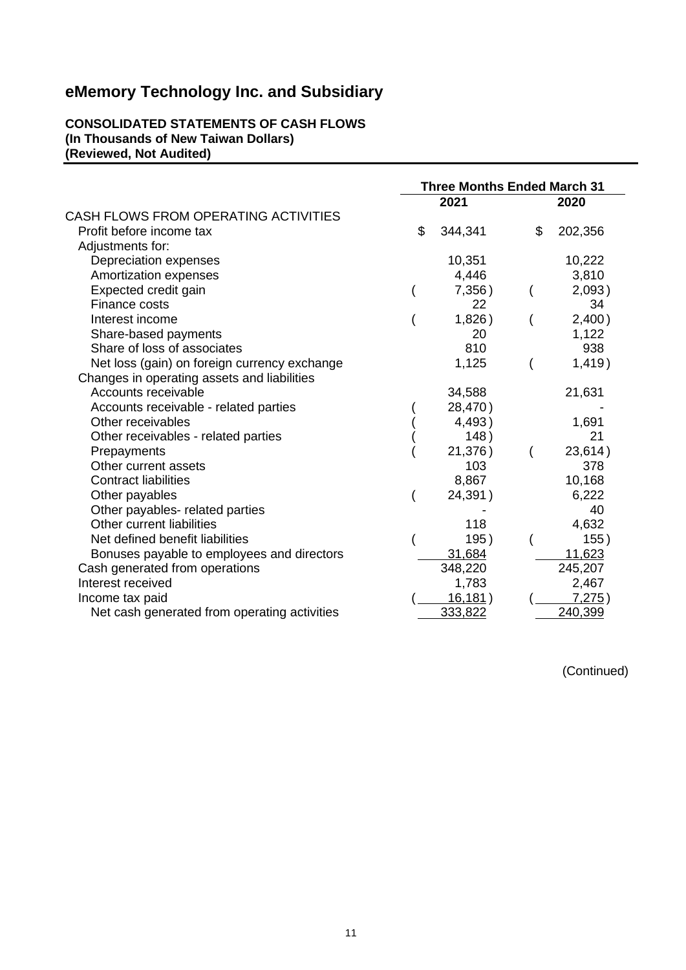#### **CONSOLIDATED STATEMENTS OF CASH FLOWS (In Thousands of New Taiwan Dollars) (Reviewed, Not Audited)**

|                                              |    | <b>Three Months Ended March 31</b> |    |         |
|----------------------------------------------|----|------------------------------------|----|---------|
|                                              |    | 2021                               |    | 2020    |
| CASH FLOWS FROM OPERATING ACTIVITIES         |    |                                    |    |         |
| Profit before income tax                     | \$ | 344,341                            | \$ | 202,356 |
| Adjustments for:                             |    |                                    |    |         |
| Depreciation expenses                        |    | 10,351                             |    | 10,222  |
| Amortization expenses                        |    | 4,446                              |    | 3,810   |
| Expected credit gain                         |    | 7,356)                             |    | 2,093)  |
| Finance costs                                |    | 22                                 |    | 34      |
| Interest income                              |    | 1,826)                             |    | 2,400)  |
| Share-based payments                         |    | 20                                 |    | 1,122   |
| Share of loss of associates                  |    | 810                                |    | 938     |
| Net loss (gain) on foreign currency exchange |    | 1,125                              |    | 1,419)  |
| Changes in operating assets and liabilities  |    |                                    |    |         |
| Accounts receivable                          |    | 34,588                             |    | 21,631  |
| Accounts receivable - related parties        |    | 28,470)                            |    |         |
| Other receivables                            |    | 4,493)                             |    | 1,691   |
| Other receivables - related parties          |    | 148)                               |    | 21      |
| Prepayments                                  |    | 21,376)                            |    | 23,614) |
| Other current assets                         |    | 103                                |    | 378     |
| <b>Contract liabilities</b>                  |    | 8,867                              |    | 10,168  |
| Other payables                               |    | 24,391)                            |    | 6,222   |
| Other payables- related parties              |    |                                    |    | 40      |
| Other current liabilities                    |    | 118                                |    | 4,632   |
| Net defined benefit liabilities              |    | 195)                               |    | 155)    |
| Bonuses payable to employees and directors   |    | 31,684                             |    | 11,623  |
| Cash generated from operations               |    | 348,220                            |    | 245,207 |
| Interest received                            |    | 1,783                              |    | 2,467   |
| Income tax paid                              |    | <u>16,181</u> )                    |    | 7,275)  |
| Net cash generated from operating activities |    | 333,822                            |    | 240,399 |

(Continued)